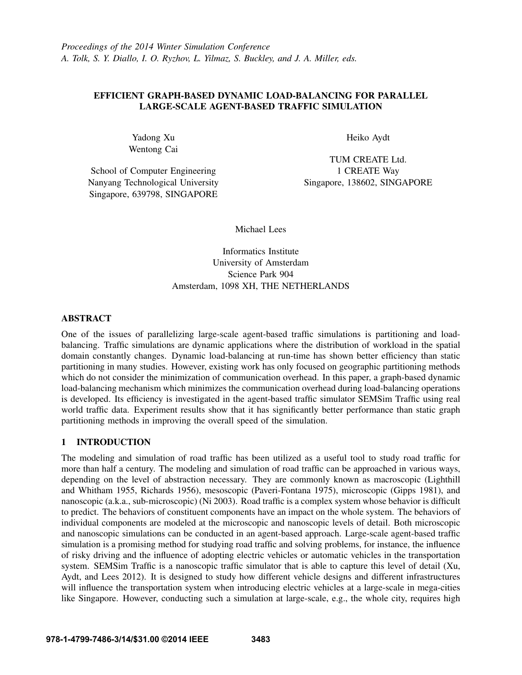# EFFICIENT GRAPH-BASED DYNAMIC LOAD-BALANCING FOR PARALLEL LARGE-SCALE AGENT-BASED TRAFFIC SIMULATION

Yadong Xu Wentong Cai

School of Computer Engineering Nanyang Technological University Singapore, 639798, SINGAPORE

Heiko Aydt

TUM CREATE Ltd. 1 CREATE Way Singapore, 138602, SINGAPORE

Michael Lees

Informatics Institute University of Amsterdam Science Park 904 Amsterdam, 1098 XH, THE NETHERLANDS

# ABSTRACT

One of the issues of parallelizing large-scale agent-based traffic simulations is partitioning and loadbalancing. Traffic simulations are dynamic applications where the distribution of workload in the spatial domain constantly changes. Dynamic load-balancing at run-time has shown better efficiency than static partitioning in many studies. However, existing work has only focused on geographic partitioning methods which do not consider the minimization of communication overhead. In this paper, a graph-based dynamic load-balancing mechanism which minimizes the communication overhead during load-balancing operations is developed. Its efficiency is investigated in the agent-based traffic simulator SEMSim Traffic using real world traffic data. Experiment results show that it has significantly better performance than static graph partitioning methods in improving the overall speed of the simulation.

# 1 INTRODUCTION

The modeling and simulation of road traffic has been utilized as a useful tool to study road traffic for more than half a century. The modeling and simulation of road traffic can be approached in various ways, depending on the level of abstraction necessary. They are commonly known as macroscopic (Lighthill and Whitham 1955, Richards 1956), mesoscopic (Paveri-Fontana 1975), microscopic (Gipps 1981), and nanoscopic (a.k.a., sub-microscopic) (Ni 2003). Road traffic is a complex system whose behavior is difficult to predict. The behaviors of constituent components have an impact on the whole system. The behaviors of individual components are modeled at the microscopic and nanoscopic levels of detail. Both microscopic and nanoscopic simulations can be conducted in an agent-based approach. Large-scale agent-based traffic simulation is a promising method for studying road traffic and solving problems, for instance, the influence of risky driving and the influence of adopting electric vehicles or automatic vehicles in the transportation system. SEMSim Traffic is a nanoscopic traffic simulator that is able to capture this level of detail (Xu, Aydt, and Lees 2012). It is designed to study how different vehicle designs and different infrastructures will influence the transportation system when introducing electric vehicles at a large-scale in mega-cities like Singapore. However, conducting such a simulation at large-scale, e.g., the whole city, requires high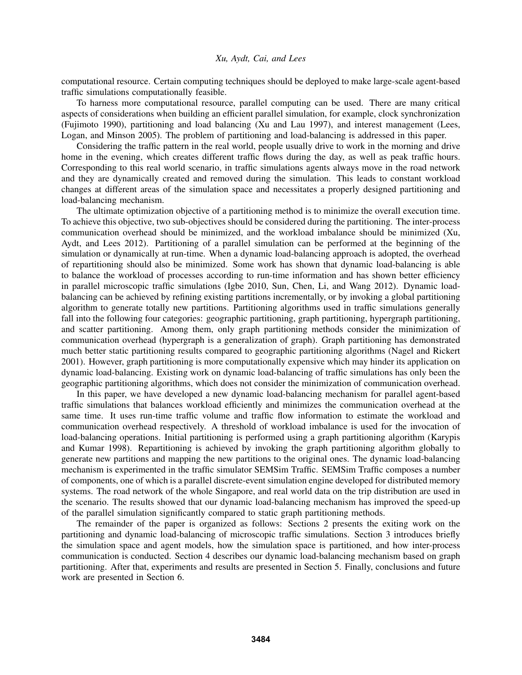computational resource. Certain computing techniques should be deployed to make large-scale agent-based traffic simulations computationally feasible.

To harness more computational resource, parallel computing can be used. There are many critical aspects of considerations when building an efficient parallel simulation, for example, clock synchronization (Fujimoto 1990), partitioning and load balancing (Xu and Lau 1997), and interest management (Lees, Logan, and Minson 2005). The problem of partitioning and load-balancing is addressed in this paper.

Considering the traffic pattern in the real world, people usually drive to work in the morning and drive home in the evening, which creates different traffic flows during the day, as well as peak traffic hours. Corresponding to this real world scenario, in traffic simulations agents always move in the road network and they are dynamically created and removed during the simulation. This leads to constant workload changes at different areas of the simulation space and necessitates a properly designed partitioning and load-balancing mechanism.

The ultimate optimization objective of a partitioning method is to minimize the overall execution time. To achieve this objective, two sub-objectives should be considered during the partitioning. The inter-process communication overhead should be minimized, and the workload imbalance should be minimized (Xu, Aydt, and Lees 2012). Partitioning of a parallel simulation can be performed at the beginning of the simulation or dynamically at run-time. When a dynamic load-balancing approach is adopted, the overhead of repartitioning should also be minimized. Some work has shown that dynamic load-balancing is able to balance the workload of processes according to run-time information and has shown better efficiency in parallel microscopic traffic simulations (Igbe 2010, Sun, Chen, Li, and Wang 2012). Dynamic loadbalancing can be achieved by refining existing partitions incrementally, or by invoking a global partitioning algorithm to generate totally new partitions. Partitioning algorithms used in traffic simulations generally fall into the following four categories: geographic partitioning, graph partitioning, hypergraph partitioning, and scatter partitioning. Among them, only graph partitioning methods consider the minimization of communication overhead (hypergraph is a generalization of graph). Graph partitioning has demonstrated much better static partitioning results compared to geographic partitioning algorithms (Nagel and Rickert 2001). However, graph partitioning is more computationally expensive which may hinder its application on dynamic load-balancing. Existing work on dynamic load-balancing of traffic simulations has only been the geographic partitioning algorithms, which does not consider the minimization of communication overhead.

In this paper, we have developed a new dynamic load-balancing mechanism for parallel agent-based traffic simulations that balances workload efficiently and minimizes the communication overhead at the same time. It uses run-time traffic volume and traffic flow information to estimate the workload and communication overhead respectively. A threshold of workload imbalance is used for the invocation of load-balancing operations. Initial partitioning is performed using a graph partitioning algorithm (Karypis and Kumar 1998). Repartitioning is achieved by invoking the graph partitioning algorithm globally to generate new partitions and mapping the new partitions to the original ones. The dynamic load-balancing mechanism is experimented in the traffic simulator SEMSim Traffic. SEMSim Traffic composes a number of components, one of which is a parallel discrete-event simulation engine developed for distributed memory systems. The road network of the whole Singapore, and real world data on the trip distribution are used in the scenario. The results showed that our dynamic load-balancing mechanism has improved the speed-up of the parallel simulation significantly compared to static graph partitioning methods.

The remainder of the paper is organized as follows: Sections 2 presents the exiting work on the partitioning and dynamic load-balancing of microscopic traffic simulations. Section 3 introduces briefly the simulation space and agent models, how the simulation space is partitioned, and how inter-process communication is conducted. Section 4 describes our dynamic load-balancing mechanism based on graph partitioning. After that, experiments and results are presented in Section 5. Finally, conclusions and future work are presented in Section 6.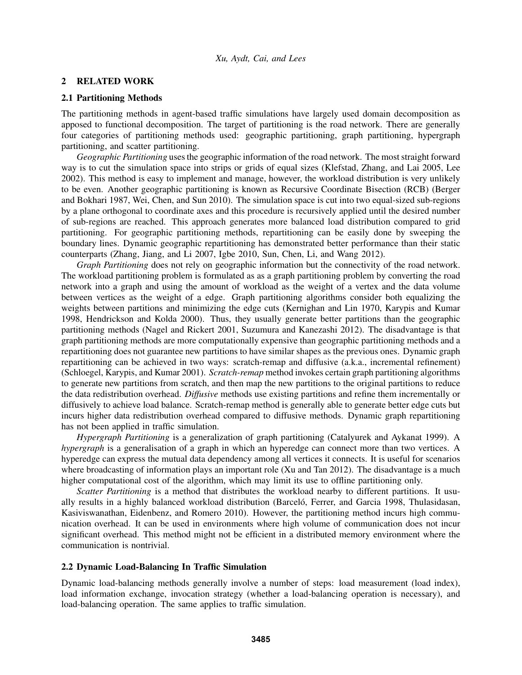#### 2 RELATED WORK

## 2.1 Partitioning Methods

The partitioning methods in agent-based traffic simulations have largely used domain decomposition as apposed to functional decomposition. The target of partitioning is the road network. There are generally four categories of partitioning methods used: geographic partitioning, graph partitioning, hypergraph partitioning, and scatter partitioning.

*Geographic Partitioning* uses the geographic information of the road network. The most straight forward way is to cut the simulation space into strips or grids of equal sizes (Klefstad, Zhang, and Lai 2005, Lee 2002). This method is easy to implement and manage, however, the workload distribution is very unlikely to be even. Another geographic partitioning is known as Recursive Coordinate Bisection (RCB) (Berger and Bokhari 1987, Wei, Chen, and Sun 2010). The simulation space is cut into two equal-sized sub-regions by a plane orthogonal to coordinate axes and this procedure is recursively applied until the desired number of sub-regions are reached. This approach generates more balanced load distribution compared to grid partitioning. For geographic partitioning methods, repartitioning can be easily done by sweeping the boundary lines. Dynamic geographic repartitioning has demonstrated better performance than their static counterparts (Zhang, Jiang, and Li 2007, Igbe 2010, Sun, Chen, Li, and Wang 2012).

*Graph Partitioning* does not rely on geographic information but the connectivity of the road network. The workload partitioning problem is formulated as as a graph partitioning problem by converting the road network into a graph and using the amount of workload as the weight of a vertex and the data volume between vertices as the weight of a edge. Graph partitioning algorithms consider both equalizing the weights between partitions and minimizing the edge cuts (Kernighan and Lin 1970, Karypis and Kumar 1998, Hendrickson and Kolda 2000). Thus, they usually generate better partitions than the geographic partitioning methods (Nagel and Rickert 2001, Suzumura and Kanezashi 2012). The disadvantage is that graph partitioning methods are more computationally expensive than geographic partitioning methods and a repartitioning does not guarantee new partitions to have similar shapes as the previous ones. Dynamic graph repartitioning can be achieved in two ways: scratch-remap and diffusive (a.k.a., incremental refinement) (Schloegel, Karypis, and Kumar 2001). *Scratch-remap* method invokes certain graph partitioning algorithms to generate new partitions from scratch, and then map the new partitions to the original partitions to reduce the data redistribution overhead. *Diffusive* methods use existing partitions and refine them incrementally or diffusively to achieve load balance. Scratch-remap method is generally able to generate better edge cuts but incurs higher data redistribution overhead compared to diffusive methods. Dynamic graph repartitioning has not been applied in traffic simulation.

*Hypergraph Partitioning* is a generalization of graph partitioning (Catalyurek and Aykanat 1999). A *hypergraph* is a generalisation of a graph in which an hyperedge can connect more than two vertices. A hyperedge can express the mutual data dependency among all vertices it connects. It is useful for scenarios where broadcasting of information plays an important role (Xu and Tan 2012). The disadvantage is a much higher computational cost of the algorithm, which may limit its use to offline partitioning only.

*Scatter Partitioning* is a method that distributes the workload nearby to different partitions. It usually results in a highly balanced workload distribution (Barceló, Ferrer, and Garcia 1998, Thulasidasan, Kasiviswanathan, Eidenbenz, and Romero 2010). However, the partitioning method incurs high communication overhead. It can be used in environments where high volume of communication does not incur significant overhead. This method might not be efficient in a distributed memory environment where the communication is nontrivial.

### 2.2 Dynamic Load-Balancing In Traffic Simulation

Dynamic load-balancing methods generally involve a number of steps: load measurement (load index), load information exchange, invocation strategy (whether a load-balancing operation is necessary), and load-balancing operation. The same applies to traffic simulation.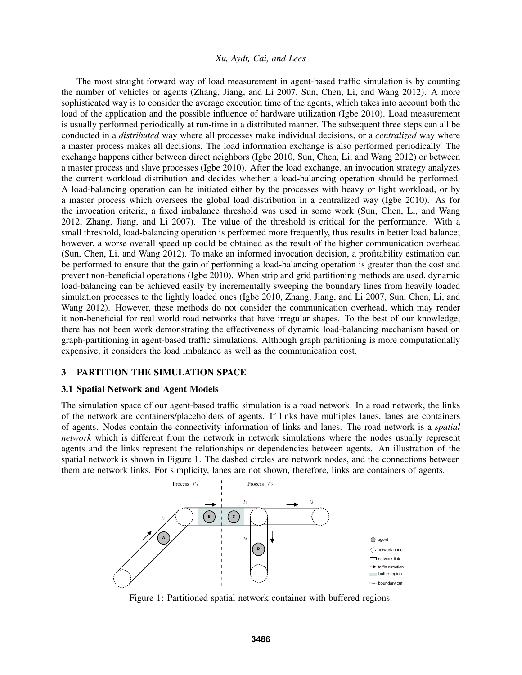The most straight forward way of load measurement in agent-based traffic simulation is by counting the number of vehicles or agents (Zhang, Jiang, and Li 2007, Sun, Chen, Li, and Wang 2012). A more sophisticated way is to consider the average execution time of the agents, which takes into account both the load of the application and the possible influence of hardware utilization (Igbe 2010). Load measurement is usually performed periodically at run-time in a distributed manner. The subsequent three steps can all be conducted in a *distributed* way where all processes make individual decisions, or a *centralized* way where a master process makes all decisions. The load information exchange is also performed periodically. The exchange happens either between direct neighbors (Igbe 2010, Sun, Chen, Li, and Wang 2012) or between a master process and slave processes (Igbe 2010). After the load exchange, an invocation strategy analyzes the current workload distribution and decides whether a load-balancing operation should be performed. A load-balancing operation can be initiated either by the processes with heavy or light workload, or by a master process which oversees the global load distribution in a centralized way (Igbe 2010). As for the invocation criteria, a fixed imbalance threshold was used in some work (Sun, Chen, Li, and Wang 2012, Zhang, Jiang, and Li 2007). The value of the threshold is critical for the performance. With a small threshold, load-balancing operation is performed more frequently, thus results in better load balance; however, a worse overall speed up could be obtained as the result of the higher communication overhead (Sun, Chen, Li, and Wang 2012). To make an informed invocation decision, a profitability estimation can be performed to ensure that the gain of performing a load-balancing operation is greater than the cost and prevent non-beneficial operations (Igbe 2010). When strip and grid partitioning methods are used, dynamic load-balancing can be achieved easily by incrementally sweeping the boundary lines from heavily loaded simulation processes to the lightly loaded ones (Igbe 2010, Zhang, Jiang, and Li 2007, Sun, Chen, Li, and Wang 2012). However, these methods do not consider the communication overhead, which may render it non-beneficial for real world road networks that have irregular shapes. To the best of our knowledge, there has not been work demonstrating the effectiveness of dynamic load-balancing mechanism based on graph-partitioning in agent-based traffic simulations. Although graph partitioning is more computationally expensive, it considers the load imbalance as well as the communication cost.

## 3 PARTITION THE SIMULATION SPACE

## 3.1 Spatial Network and Agent Models

The simulation space of our agent-based traffic simulation is a road network. In a road network, the links of the network are containers/placeholders of agents. If links have multiples lanes, lanes are containers of agents. Nodes contain the connectivity information of links and lanes. The road network is a *spatial network* which is different from the network in network simulations where the nodes usually represent agents and the links represent the relationships or dependencies between agents. An illustration of the spatial network is shown in Figure 1. The dashed circles are network nodes, and the connections between them are network links. For simplicity, lanes are not shown, therefore, links are containers of agents.



Figure 1: Partitioned spatial network container with buffered regions.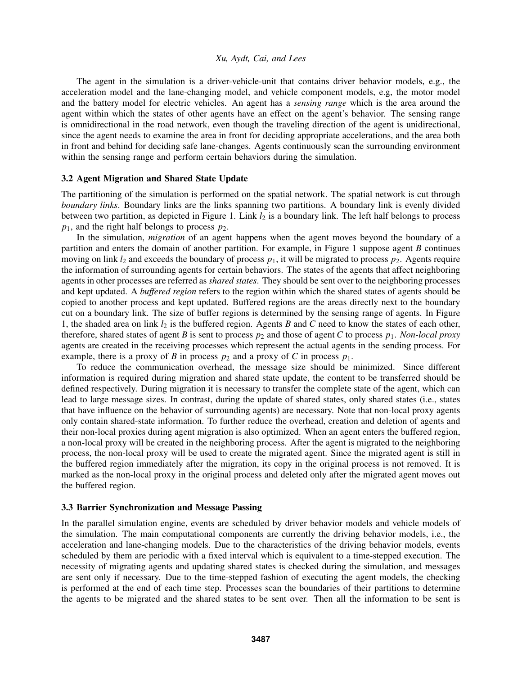The agent in the simulation is a driver-vehicle-unit that contains driver behavior models, e.g., the acceleration model and the lane-changing model, and vehicle component models, e.g, the motor model and the battery model for electric vehicles. An agent has a *sensing range* which is the area around the agent within which the states of other agents have an effect on the agent's behavior. The sensing range is omnidirectional in the road network, even though the traveling direction of the agent is unidirectional, since the agent needs to examine the area in front for deciding appropriate accelerations, and the area both in front and behind for deciding safe lane-changes. Agents continuously scan the surrounding environment within the sensing range and perform certain behaviors during the simulation.

### 3.2 Agent Migration and Shared State Update

The partitioning of the simulation is performed on the spatial network. The spatial network is cut through *boundary links*. Boundary links are the links spanning two partitions. A boundary link is evenly divided between two partition, as depicted in Figure 1. Link  $l_2$  is a boundary link. The left half belongs to process  $p_1$ , and the right half belongs to process  $p_2$ .

In the simulation, *migration* of an agent happens when the agent moves beyond the boundary of a partition and enters the domain of another partition. For example, in Figure 1 suppose agent *B* continues moving on link  $l_2$  and exceeds the boundary of process  $p_1$ , it will be migrated to process  $p_2$ . Agents require the information of surrounding agents for certain behaviors. The states of the agents that affect neighboring agents in other processes are referred as *shared states*. They should be sent over to the neighboring processes and kept updated. A *buffered region* refers to the region within which the shared states of agents should be copied to another process and kept updated. Buffered regions are the areas directly next to the boundary cut on a boundary link. The size of buffer regions is determined by the sensing range of agents. In Figure 1, the shaded area on link  $l_2$  is the buffered region. Agents  $B$  and  $C$  need to know the states of each other, therefore, shared states of agent *B* is sent to process  $p_2$  and those of agent *C* to process  $p_1$ . *Non-local proxy* agents are created in the receiving processes which represent the actual agents in the sending process. For example, there is a proxy of *B* in process  $p_2$  and a proxy of *C* in process  $p_1$ .

To reduce the communication overhead, the message size should be minimized. Since different information is required during migration and shared state update, the content to be transferred should be defined respectively. During migration it is necessary to transfer the complete state of the agent, which can lead to large message sizes. In contrast, during the update of shared states, only shared states (i.e., states that have influence on the behavior of surrounding agents) are necessary. Note that non-local proxy agents only contain shared-state information. To further reduce the overhead, creation and deletion of agents and their non-local proxies during agent migration is also optimized. When an agent enters the buffered region, a non-local proxy will be created in the neighboring process. After the agent is migrated to the neighboring process, the non-local proxy will be used to create the migrated agent. Since the migrated agent is still in the buffered region immediately after the migration, its copy in the original process is not removed. It is marked as the non-local proxy in the original process and deleted only after the migrated agent moves out the buffered region.

### 3.3 Barrier Synchronization and Message Passing

In the parallel simulation engine, events are scheduled by driver behavior models and vehicle models of the simulation. The main computational components are currently the driving behavior models, i.e., the acceleration and lane-changing models. Due to the characteristics of the driving behavior models, events scheduled by them are periodic with a fixed interval which is equivalent to a time-stepped execution. The necessity of migrating agents and updating shared states is checked during the simulation, and messages are sent only if necessary. Due to the time-stepped fashion of executing the agent models, the checking is performed at the end of each time step. Processes scan the boundaries of their partitions to determine the agents to be migrated and the shared states to be sent over. Then all the information to be sent is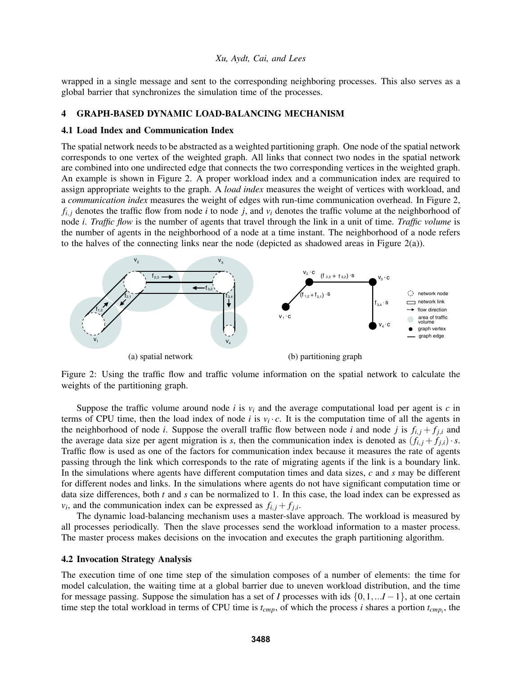wrapped in a single message and sent to the corresponding neighboring processes. This also serves as a global barrier that synchronizes the simulation time of the processes.

### 4 GRAPH-BASED DYNAMIC LOAD-BALANCING MECHANISM

#### 4.1 Load Index and Communication Index

The spatial network needs to be abstracted as a weighted partitioning graph. One node of the spatial network corresponds to one vertex of the weighted graph. All links that connect two nodes in the spatial network are combined into one undirected edge that connects the two corresponding vertices in the weighted graph. An example is shown in Figure 2. A proper workload index and a communication index are required to assign appropriate weights to the graph. A *load index* measures the weight of vertices with workload, and a *communication index* measures the weight of edges with run-time communication overhead. In Figure 2,  $f_{i,j}$  denotes the traffic flow from node *i* to node *j*, and  $v_i$  denotes the traffic volume at the neighborhood of node *i*. *Traffic flow* is the number of agents that travel through the link in a unit of time. *Traffic volume* is the number of agents in the neighborhood of a node at a time instant. The neighborhood of a node refers to the halves of the connecting links near the node (depicted as shadowed areas in Figure 2(a)).



Figure 2: Using the traffic flow and traffic volume information on the spatial network to calculate the weights of the partitioning graph.

Suppose the traffic volume around node  $i$  is  $v_i$  and the average computational load per agent is  $c$  in terms of CPU time, then the load index of node *i* is  $v_i \cdot c$ . It is the computation time of all the agents in the neighborhood of node *i*. Suppose the overall traffic flow between node *i* and node *j* is  $f_{i,j} + f_{j,i}$  and the average data size per agent migration is *s*, then the communication index is denoted as  $(f_{i,i} + f_{j,i}) \cdot s$ . Traffic flow is used as one of the factors for communication index because it measures the rate of agents passing through the link which corresponds to the rate of migrating agents if the link is a boundary link. In the simulations where agents have different computation times and data sizes, *c* and *s* may be different for different nodes and links. In the simulations where agents do not have significant computation time or data size differences, both *t* and *s* can be normalized to 1. In this case, the load index can be expressed as  $v_i$ , and the communication index can be expressed as  $f_{i,j} + f_{j,i}$ .

The dynamic load-balancing mechanism uses a master-slave approach. The workload is measured by all processes periodically. Then the slave processes send the workload information to a master process. The master process makes decisions on the invocation and executes the graph partitioning algorithm.

#### 4.2 Invocation Strategy Analysis

The execution time of one time step of the simulation composes of a number of elements: the time for model calculation, the waiting time at a global barrier due to uneven workload distribution, and the time for message passing. Suppose the simulation has a set of *I* processes with ids  $\{0,1,...I-1\}$ , at one certain time step the total workload in terms of CPU time is  $t_{cmp}$ , of which the process *i* shares a portion  $t_{cmp}$ , the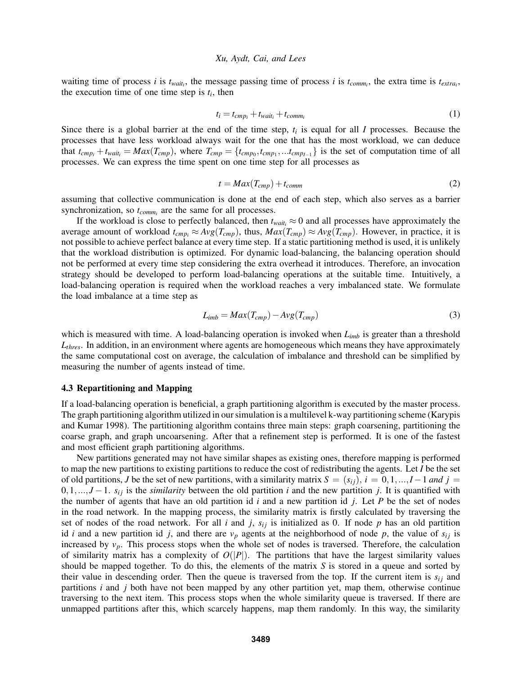waiting time of process *i* is  $t_{wait_i}$ , the message passing time of process *i* is  $t_{comm_i}$ , the extra time is  $t_{extra_i}$ , the execution time of one time step is  $t_i$ , then

$$
t_i = t_{cmp_i} + t_{wait_i} + t_{comm_i}
$$
\n<sup>(1)</sup>

Since there is a global barrier at the end of the time step, *ti* is equal for all *I* processes. Because the processes that have less workload always wait for the one that has the most workload, we can deduce that  $t_{cmp_i} + t_{wait_i} = Max(T_{cmp})$ , where  $T_{cmp} = \{t_{cmp_0}, t_{cmp_1}, \ldots, t_{cmp_{I-1}}\}$  is the set of computation time of all processes. We can express the time spent on one time step for all processes as

$$
t = Max(T_{cmp}) + t_{comm} \tag{2}
$$

assuming that collective communication is done at the end of each step, which also serves as a barrier synchronization, so  $t_{comm_i}$  are the same for all processes.

If the workload is close to perfectly balanced, then  $t_{wait} \approx 0$  and all processes have approximately the average amount of workload  $t_{cmp_i} \approx Avg(T_{cmp})$ , thus,  $Max(T_{cmp}) \approx Avg(T_{cmp})$ . However, in practice, it is not possible to achieve perfect balance at every time step. If a static partitioning method is used, it is unlikely that the workload distribution is optimized. For dynamic load-balancing, the balancing operation should not be performed at every time step considering the extra overhead it introduces. Therefore, an invocation strategy should be developed to perform load-balancing operations at the suitable time. Intuitively, a load-balancing operation is required when the workload reaches a very imbalanced state. We formulate the load imbalance at a time step as

$$
L_{imb} = Max(T_{cmp}) - Avg(T_{cmp})
$$
\n(3)

which is measured with time. A load-balancing operation is invoked when  $L_{imb}$  is greater than a threshold *Lthres*. In addition, in an environment where agents are homogeneous which means they have approximately the same computational cost on average, the calculation of imbalance and threshold can be simplified by measuring the number of agents instead of time.

### 4.3 Repartitioning and Mapping

If a load-balancing operation is beneficial, a graph partitioning algorithm is executed by the master process. The graph partitioning algorithm utilized in our simulation is a multilevel k-way partitioning scheme (Karypis and Kumar 1998). The partitioning algorithm contains three main steps: graph coarsening, partitioning the coarse graph, and graph uncoarsening. After that a refinement step is performed. It is one of the fastest and most efficient graph partitioning algorithms.

New partitions generated may not have similar shapes as existing ones, therefore mapping is performed to map the new partitions to existing partitions to reduce the cost of redistributing the agents. Let *I* be the set of old partitions, *J* be the set of new partitions, with a similarity matrix  $S = (s_{ij})$ ,  $i = 0, 1, ..., I-1$  and  $j =$  $0,1,..., J-1$ . *s<sub>ij</sub>* is the *similarity* between the old partition *i* and the new partition *j*. It is quantified with the number of agents that have an old partition id *i* and a new partition id *j*. Let *P* be the set of nodes in the road network. In the mapping process, the similarity matrix is firstly calculated by traversing the set of nodes of the road network. For all *i* and *j*,  $s_{ij}$  is initialized as 0. If node *p* has an old partition id *i* and a new partition id *j*, and there are  $v_p$  agents at the neighborhood of node  $p$ , the value of  $s_{ij}$  is increased by  $v_p$ . This process stops when the whole set of nodes is traversed. Therefore, the calculation of similarity matrix has a complexity of  $O(|P|)$ . The partitions that have the largest similarity values should be mapped together. To do this, the elements of the matrix *S* is stored in a queue and sorted by their value in descending order. Then the queue is traversed from the top. If the current item is  $s_{ij}$  and partitions *i* and *j* both have not been mapped by any other partition yet, map them, otherwise continue traversing to the next item. This process stops when the whole similarity queue is traversed. If there are unmapped partitions after this, which scarcely happens, map them randomly. In this way, the similarity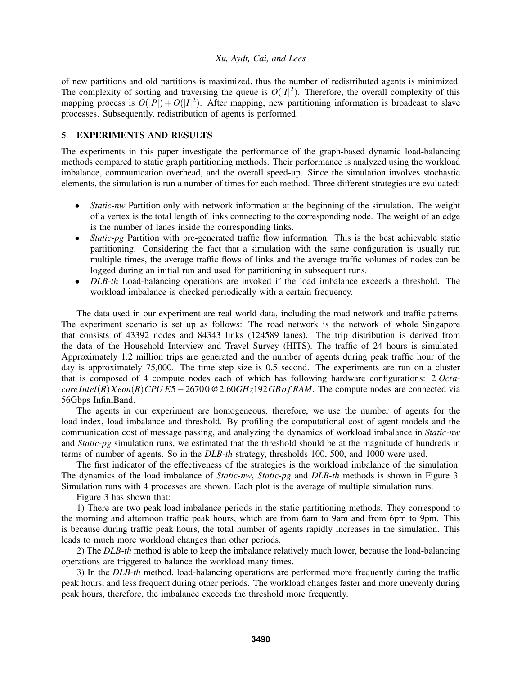of new partitions and old partitions is maximized, thus the number of redistributed agents is minimized. The complexity of sorting and traversing the queue is  $O(|I|^2)$ . Therefore, the overall complexity of this mapping process is  $O(|P|) + O(|I|^2)$ . After mapping, new partitioning information is broadcast to slave processes. Subsequently, redistribution of agents is performed.

# 5 EXPERIMENTS AND RESULTS

The experiments in this paper investigate the performance of the graph-based dynamic load-balancing methods compared to static graph partitioning methods. Their performance is analyzed using the workload imbalance, communication overhead, and the overall speed-up. Since the simulation involves stochastic elements, the simulation is run a number of times for each method. Three different strategies are evaluated:

- *Static-nw* Partition only with network information at the beginning of the simulation. The weight of a vertex is the total length of links connecting to the corresponding node. The weight of an edge is the number of lanes inside the corresponding links.
- *Static-pg* Partition with pre-generated traffic flow information. This is the best achievable static partitioning. Considering the fact that a simulation with the same configuration is usually run multiple times, the average traffic flows of links and the average traffic volumes of nodes can be logged during an initial run and used for partitioning in subsequent runs.
- *DLB-th* Load-balancing operations are invoked if the load imbalance exceeds a threshold. The workload imbalance is checked periodically with a certain frequency.

The data used in our experiment are real world data, including the road network and traffic patterns. The experiment scenario is set up as follows: The road network is the network of whole Singapore that consists of 43392 nodes and 84343 links (124589 lanes). The trip distribution is derived from the data of the Household Interview and Travel Survey (HITS). The traffic of 24 hours is simulated. Approximately 1.2 million trips are generated and the number of agents during peak traffic hour of the day is approximately 75,000. The time step size is 0.5 second. The experiments are run on a cluster that is composed of 4 compute nodes each of which has following hardware configurations: 2 *Octacore Intel*(*R*)*Xeon*(*R*)*CPU E*5−2670 0@2.60*GHz*192*GB o f RAM*. The compute nodes are connected via 56Gbps InfiniBand.

The agents in our experiment are homogeneous, therefore, we use the number of agents for the load index, load imbalance and threshold. By profiling the computational cost of agent models and the communication cost of message passing, and analyzing the dynamics of workload imbalance in *Static-nw* and *Static-pg* simulation runs, we estimated that the threshold should be at the magnitude of hundreds in terms of number of agents. So in the *DLB-th* strategy, thresholds 100, 500, and 1000 were used.

The first indicator of the effectiveness of the strategies is the workload imbalance of the simulation. The dynamics of the load imbalance of *Static-nw*, *Static-pg* and *DLB-th* methods is shown in Figure 3. Simulation runs with 4 processes are shown. Each plot is the average of multiple simulation runs.

Figure 3 has shown that:

1) There are two peak load imbalance periods in the static partitioning methods. They correspond to the morning and afternoon traffic peak hours, which are from 6am to 9am and from 6pm to 9pm. This is because during traffic peak hours, the total number of agents rapidly increases in the simulation. This leads to much more workload changes than other periods.

2) The *DLB-th* method is able to keep the imbalance relatively much lower, because the load-balancing operations are triggered to balance the workload many times.

3) In the *DLB-th* method, load-balancing operations are performed more frequently during the traffic peak hours, and less frequent during other periods. The workload changes faster and more unevenly during peak hours, therefore, the imbalance exceeds the threshold more frequently.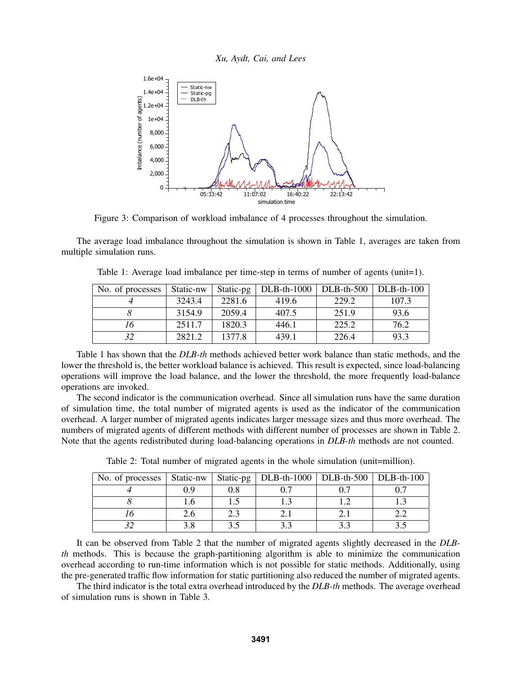



Figure 3: Comparison of workload imbalance of 4 processes throughout the simulation.

The average load imbalance throughout the simulation is shown in Table 1, averages are taken from multiple simulation runs.

| No. of processes | Static-nw | Static-pg | $DLB-th-1000$ | $DLB-th-500$ | $DLB-th-100$ |
|------------------|-----------|-----------|---------------|--------------|--------------|
|                  | 3243.4    | 2281.6    | 419.6         | 229.2        | 107.3        |
|                  | 3154.9    | 2059.4    | 407.5         | 251.9        | 93.6         |
| 16               | 2511.7    | 1820.3    | 446.1         | 225.2        | 76.2         |
| 32               | 2821.2    | 1377.8    | 439.1         | 226.4        | 93.3         |

Table 1: Average load imbalance per time-step in terms of number of agents (unit=1).

Table 1 has shown that the *DLB-th* methods achieved better work balance than static methods, and the lower the threshold is, the better workload balance is achieved. This result is expected, since load-balancing operations will improve the load balance, and the lower the threshold, the more frequently load-balance operations are invoked.

The second indicator is the communication overhead. Since all simulation runs have the same duration of simulation time, the total number of migrated agents is used as the indicator of the communication overhead. A larger number of migrated agents indicates larger message sizes and thus more overhead. The numbers of migrated agents of different methods with different number of processes are shown in Table 2. Note that the agents redistributed during load-balancing operations in *DLB-th* methods are not counted.

| No. of processes   Static-nw |     | Static-pg   DLB-th-1000   DLB-th-500   DLB-th-100 |  |
|------------------------------|-----|---------------------------------------------------|--|
|                              | 0.8 |                                                   |  |
|                              |     |                                                   |  |
|                              |     |                                                   |  |
|                              |     |                                                   |  |

Table 2: Total number of migrated agents in the whole simulation (unit=million).

It can be observed from Table 2 that the number of migrated agents slightly decreased in the *DLBth* methods. This is because the graph-partitioning algorithm is able to minimize the communication overhead according to run-time information which is not possible for static methods. Additionally, using the pre-generated traffic flow information for static partitioning also reduced the number of migrated agents.

The third indicator is the total extra overhead introduced by the *DLB-th* methods. The average overhead of simulation runs is shown in Table 3.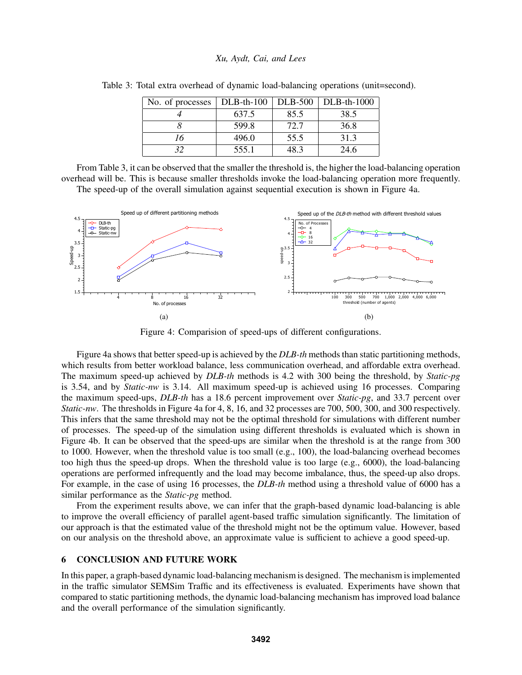| No. of processes | $DLB-th-100$ | <b>DLB-500</b> | DLB-th-1000 |
|------------------|--------------|----------------|-------------|
|                  | 637.5        | 85.5           | 38.5        |
|                  | 599.8        | 72.7           | 36.8        |
| 16               | 496.0        | 55.5           | 31.3        |
| 37               | 555.1        | 18 Z           | 24.6        |

Table 3: Total extra overhead of dynamic load-balancing operations (unit=second).

From Table 3, it can be observed that the smaller the threshold is, the higher the load-balancing operation overhead will be. This is because smaller thresholds invoke the load-balancing operation more frequently. The speed-up of the overall simulation against sequential execution is shown in Figure 4a.



Figure 4: Comparision of speed-ups of different configurations.

Figure 4a shows that better speed-up is achieved by the *DLB-th* methods than static partitioning methods, which results from better workload balance, less communication overhead, and affordable extra overhead. The maximum speed-up achieved by *DLB-th* methods is 4.2 with 300 being the threshold, by *Static-pg* is 3.54, and by *Static-nw* is 3.14. All maximum speed-up is achieved using 16 processes. Comparing the maximum speed-ups, *DLB-th* has a 18.6 percent improvement over *Static-pg*, and 33.7 percent over *Static-nw*. The thresholds in Figure 4a for 4, 8, 16, and 32 processes are 700, 500, 300, and 300 respectively. This infers that the same threshold may not be the optimal threshold for simulations with different number of processes. The speed-up of the simulation using different thresholds is evaluated which is shown in Figure 4b. It can be observed that the speed-ups are similar when the threshold is at the range from 300 to 1000. However, when the threshold value is too small (e.g., 100), the load-balancing overhead becomes too high thus the speed-up drops. When the threshold value is too large (e.g.,  $6000$ ), the load-balancing operations are performed infrequently and the load may become imbalance, thus, the speed-up also drops. For example, in the case of using 16 processes, the *DLB-th* method using a threshold value of 6000 has a similar performance as the *Static-pg* method.

From the experiment results above, we can infer that the graph-based dynamic load-balancing is able to improve the overall efficiency of parallel agent-based traffic simulation significantly. The limitation of our approach is that the estimated value of the threshold might not be the optimum value. However, based on our analysis on the threshold above, an approximate value is sufficient to achieve a good speed-up.

## 6 CONCLUSION AND FUTURE WORK

In this paper, a graph-based dynamic load-balancing mechanism is designed. The mechanism is implemented in the traffic simulator SEMSim Traffic and its effectiveness is evaluated. Experiments have shown that compared to static partitioning methods, the dynamic load-balancing mechanism has improved load balance and the overall performance of the simulation significantly.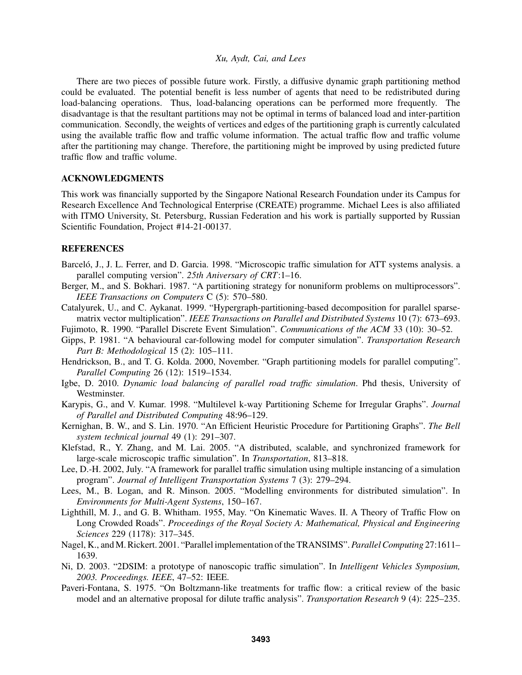There are two pieces of possible future work. Firstly, a diffusive dynamic graph partitioning method could be evaluated. The potential benefit is less number of agents that need to be redistributed during load-balancing operations. Thus, load-balancing operations can be performed more frequently. The disadvantage is that the resultant partitions may not be optimal in terms of balanced load and inter-partition communication. Secondly, the weights of vertices and edges of the partitioning graph is currently calculated using the available traffic flow and traffic volume information. The actual traffic flow and traffic volume after the partitioning may change. Therefore, the partitioning might be improved by using predicted future traffic flow and traffic volume.

# ACKNOWLEDGMENTS

This work was financially supported by the Singapore National Research Foundation under its Campus for Research Excellence And Technological Enterprise (CREATE) programme. Michael Lees is also affiliated with ITMO University, St. Petersburg, Russian Federation and his work is partially supported by Russian Scientific Foundation, Project #14-21-00137.

## **REFERENCES**

- Barceló, J., J. L. Ferrer, and D. Garcia. 1998. "Microscopic traffic simulation for ATT systems analysis. a parallel computing version". *25th Aniversary of CRT*:1–16.
- Berger, M., and S. Bokhari. 1987. "A partitioning strategy for nonuniform problems on multiprocessors". *IEEE Transactions on Computers* C (5): 570–580.
- Catalyurek, U., and C. Aykanat. 1999. "Hypergraph-partitioning-based decomposition for parallel sparsematrix vector multiplication". *IEEE Transactions on Parallel and Distributed Systems* 10 (7): 673–693.
- Fujimoto, R. 1990. "Parallel Discrete Event Simulation". *Communications of the ACM* 33 (10): 30–52.
- Gipps, P. 1981. "A behavioural car-following model for computer simulation". *Transportation Research Part B: Methodological* 15 (2): 105–111.
- Hendrickson, B., and T. G. Kolda. 2000, November. "Graph partitioning models for parallel computing". *Parallel Computing* 26 (12): 1519–1534.
- Igbe, D. 2010. *Dynamic load balancing of parallel road traffic simulation*. Phd thesis, University of Westminster.
- Karypis, G., and V. Kumar. 1998. "Multilevel k-way Partitioning Scheme for Irregular Graphs". *Journal of Parallel and Distributed Computing* 48:96–129.
- Kernighan, B. W., and S. Lin. 1970. "An Efficient Heuristic Procedure for Partitioning Graphs". *The Bell system technical journal* 49 (1): 291–307.
- Klefstad, R., Y. Zhang, and M. Lai. 2005. "A distributed, scalable, and synchronized framework for large-scale microscopic traffic simulation". In *Transportation*, 813–818.
- Lee, D.-H. 2002, July. "A framework for parallel traffic simulation using multiple instancing of a simulation program". *Journal of Intelligent Transportation Systems* 7 (3): 279–294.
- Lees, M., B. Logan, and R. Minson. 2005. "Modelling environments for distributed simulation". In *Environments for Multi-Agent Systems*, 150–167.
- Lighthill, M. J., and G. B. Whitham. 1955, May. "On Kinematic Waves. II. A Theory of Traffic Flow on Long Crowded Roads". *Proceedings of the Royal Society A: Mathematical, Physical and Engineering Sciences* 229 (1178): 317–345.
- Nagel, K., and M. Rickert. 2001. "Parallel implementation of the TRANSIMS". *Parallel Computing* 27:1611– 1639.
- Ni, D. 2003. "2DSIM: a prototype of nanoscopic traffic simulation". In *Intelligent Vehicles Symposium, 2003. Proceedings. IEEE*, 47–52: IEEE.
- Paveri-Fontana, S. 1975. "On Boltzmann-like treatments for traffic flow: a critical review of the basic model and an alternative proposal for dilute traffic analysis". *Transportation Research* 9 (4): 225–235.